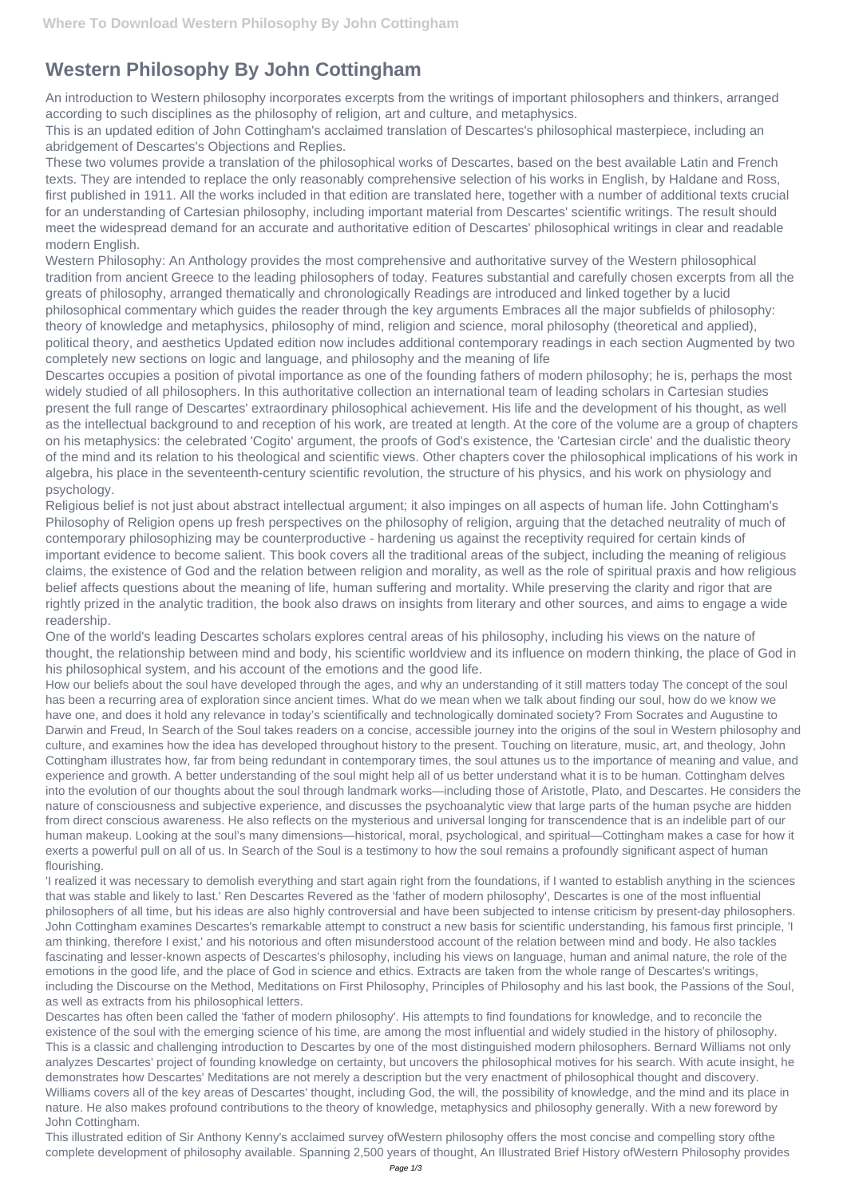## **Western Philosophy By John Cottingham**

An introduction to Western philosophy incorporates excerpts from the writings of important philosophers and thinkers, arranged according to such disciplines as the philosophy of religion, art and culture, and metaphysics.

This is an updated edition of John Cottingham's acclaimed translation of Descartes's philosophical masterpiece, including an abridgement of Descartes's Objections and Replies.

These two volumes provide a translation of the philosophical works of Descartes, based on the best available Latin and French texts. They are intended to replace the only reasonably comprehensive selection of his works in English, by Haldane and Ross, first published in 1911. All the works included in that edition are translated here, together with a number of additional texts crucial for an understanding of Cartesian philosophy, including important material from Descartes' scientific writings. The result should meet the widespread demand for an accurate and authoritative edition of Descartes' philosophical writings in clear and readable modern English.

Western Philosophy: An Anthology provides the most comprehensive and authoritative survey of the Western philosophical tradition from ancient Greece to the leading philosophers of today. Features substantial and carefully chosen excerpts from all the greats of philosophy, arranged thematically and chronologically Readings are introduced and linked together by a lucid philosophical commentary which guides the reader through the key arguments Embraces all the major subfields of philosophy: theory of knowledge and metaphysics, philosophy of mind, religion and science, moral philosophy (theoretical and applied), political theory, and aesthetics Updated edition now includes additional contemporary readings in each section Augmented by two completely new sections on logic and language, and philosophy and the meaning of life

Descartes occupies a position of pivotal importance as one of the founding fathers of modern philosophy; he is, perhaps the most widely studied of all philosophers. In this authoritative collection an international team of leading scholars in Cartesian studies present the full range of Descartes' extraordinary philosophical achievement. His life and the development of his thought, as well as the intellectual background to and reception of his work, are treated at length. At the core of the volume are a group of chapters on his metaphysics: the celebrated 'Cogito' argument, the proofs of God's existence, the 'Cartesian circle' and the dualistic theory of the mind and its relation to his theological and scientific views. Other chapters cover the philosophical implications of his work in algebra, his place in the seventeenth-century scientific revolution, the structure of his physics, and his work on physiology and psychology.

Religious belief is not just about abstract intellectual argument; it also impinges on all aspects of human life. John Cottingham's Philosophy of Religion opens up fresh perspectives on the philosophy of religion, arguing that the detached neutrality of much of contemporary philosophizing may be counterproductive - hardening us against the receptivity required for certain kinds of important evidence to become salient. This book covers all the traditional areas of the subject, including the meaning of religious claims, the existence of God and the relation between religion and morality, as well as the role of spiritual praxis and how religious belief affects questions about the meaning of life, human suffering and mortality. While preserving the clarity and rigor that are rightly prized in the analytic tradition, the book also draws on insights from literary and other sources, and aims to engage a wide readership.

One of the world's leading Descartes scholars explores central areas of his philosophy, including his views on the nature of thought, the relationship between mind and body, his scientific worldview and its influence on modern thinking, the place of God in his philosophical system, and his account of the emotions and the good life.

How our beliefs about the soul have developed through the ages, and why an understanding of it still matters today The concept of the soul has been a recurring area of exploration since ancient times. What do we mean when we talk about finding our soul, how do we know we have one, and does it hold any relevance in today's scientifically and technologically dominated society? From Socrates and Augustine to Darwin and Freud, In Search of the Soul takes readers on a concise, accessible journey into the origins of the soul in Western philosophy and culture, and examines how the idea has developed throughout history to the present. Touching on literature, music, art, and theology, John Cottingham illustrates how, far from being redundant in contemporary times, the soul attunes us to the importance of meaning and value, and experience and growth. A better understanding of the soul might help all of us better understand what it is to be human. Cottingham delves into the evolution of our thoughts about the soul through landmark works—including those of Aristotle, Plato, and Descartes. He considers the nature of consciousness and subjective experience, and discusses the psychoanalytic view that large parts of the human psyche are hidden from direct conscious awareness. He also reflects on the mysterious and universal longing for transcendence that is an indelible part of our human makeup. Looking at the soul's many dimensions—historical, moral, psychological, and spiritual—Cottingham makes a case for how it exerts a powerful pull on all of us. In Search of the Soul is a testimony to how the soul remains a profoundly significant aspect of human flourishing.

'I realized it was necessary to demolish everything and start again right from the foundations, if I wanted to establish anything in the sciences that was stable and likely to last.' Ren Descartes Revered as the 'father of modern philosophy', Descartes is one of the most influential philosophers of all time, but his ideas are also highly controversial and have been subjected to intense criticism by present-day philosophers. John Cottingham examines Descartes's remarkable attempt to construct a new basis for scientific understanding, his famous first principle, 'I am thinking, therefore I exist,' and his notorious and often misunderstood account of the relation between mind and body. He also tackles fascinating and lesser-known aspects of Descartes's philosophy, including his views on language, human and animal nature, the role of the emotions in the good life, and the place of God in science and ethics. Extracts are taken from the whole range of Descartes's writings, including the Discourse on the Method, Meditations on First Philosophy, Principles of Philosophy and his last book, the Passions of the Soul, as well as extracts from his philosophical letters. Descartes has often been called the 'father of modern philosophy'. His attempts to find foundations for knowledge, and to reconcile the existence of the soul with the emerging science of his time, are among the most influential and widely studied in the history of philosophy. This is a classic and challenging introduction to Descartes by one of the most distinguished modern philosophers. Bernard Williams not only analyzes Descartes' project of founding knowledge on certainty, but uncovers the philosophical motives for his search. With acute insight, he demonstrates how Descartes' Meditations are not merely a description but the very enactment of philosophical thought and discovery. Williams covers all of the key areas of Descartes' thought, including God, the will, the possibility of knowledge, and the mind and its place in nature. He also makes profound contributions to the theory of knowledge, metaphysics and philosophy generally. With a new foreword by John Cottingham.

This illustrated edition of Sir Anthony Kenny's acclaimed survey ofWestern philosophy offers the most concise and compelling story ofthe complete development of philosophy available. Spanning 2,500 years of thought, An Illustrated Brief History ofWestern Philosophy provides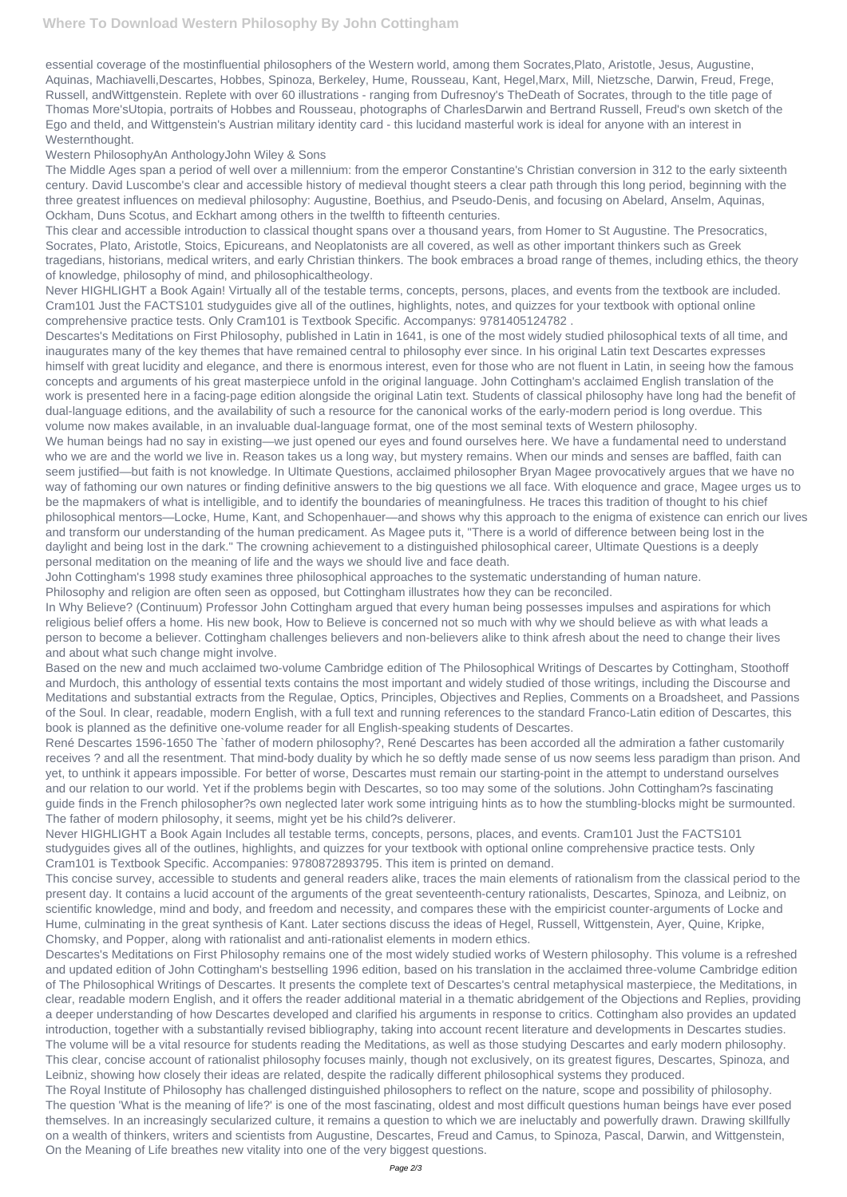essential coverage of the mostinfluential philosophers of the Western world, among them Socrates,Plato, Aristotle, Jesus, Augustine, Aquinas, Machiavelli,Descartes, Hobbes, Spinoza, Berkeley, Hume, Rousseau, Kant, Hegel,Marx, Mill, Nietzsche, Darwin, Freud, Frege, Russell, andWittgenstein. Replete with over 60 illustrations - ranging from Dufresnoy's TheDeath of Socrates, through to the title page of Thomas More'sUtopia, portraits of Hobbes and Rousseau, photographs of CharlesDarwin and Bertrand Russell, Freud's own sketch of the Ego and theId, and Wittgenstein's Austrian military identity card - this lucidand masterful work is ideal for anyone with an interest in Westernthought.

## Western PhilosophyAn AnthologyJohn Wiley & Sons

The Middle Ages span a period of well over a millennium: from the emperor Constantine's Christian conversion in 312 to the early sixteenth century. David Luscombe's clear and accessible history of medieval thought steers a clear path through this long period, beginning with the three greatest influences on medieval philosophy: Augustine, Boethius, and Pseudo-Denis, and focusing on Abelard, Anselm, Aquinas, Ockham, Duns Scotus, and Eckhart among others in the twelfth to fifteenth centuries.

This clear and accessible introduction to classical thought spans over a thousand years, from Homer to St Augustine. The Presocratics, Socrates, Plato, Aristotle, Stoics, Epicureans, and Neoplatonists are all covered, as well as other important thinkers such as Greek tragedians, historians, medical writers, and early Christian thinkers. The book embraces a broad range of themes, including ethics, the theory of knowledge, philosophy of mind, and philosophicaltheology.

Never HIGHLIGHT a Book Again! Virtually all of the testable terms, concepts, persons, places, and events from the textbook are included. Cram101 Just the FACTS101 studyguides give all of the outlines, highlights, notes, and quizzes for your textbook with optional online comprehensive practice tests. Only Cram101 is Textbook Specific. Accompanys: 9781405124782 .

We human beings had no say in existing—we just opened our eyes and found ourselves here. We have a fundamental need to understand who we are and the world we live in. Reason takes us a long way, but mystery remains. When our minds and senses are baffled, faith can seem justified—but faith is not knowledge. In Ultimate Questions, acclaimed philosopher Bryan Magee provocatively argues that we have no way of fathoming our own natures or finding definitive answers to the big questions we all face. With eloquence and grace, Magee urges us to be the mapmakers of what is intelligible, and to identify the boundaries of meaningfulness. He traces this tradition of thought to his chief philosophical mentors—Locke, Hume, Kant, and Schopenhauer—and shows why this approach to the enigma of existence can enrich our lives and transform our understanding of the human predicament. As Magee puts it, "There is a world of difference between being lost in the daylight and being lost in the dark." The crowning achievement to a distinguished philosophical career, Ultimate Questions is a deeply personal meditation on the meaning of life and the ways we should live and face death.

Descartes's Meditations on First Philosophy, published in Latin in 1641, is one of the most widely studied philosophical texts of all time, and inaugurates many of the key themes that have remained central to philosophy ever since. In his original Latin text Descartes expresses himself with great lucidity and elegance, and there is enormous interest, even for those who are not fluent in Latin, in seeing how the famous concepts and arguments of his great masterpiece unfold in the original language. John Cottingham's acclaimed English translation of the work is presented here in a facing-page edition alongside the original Latin text. Students of classical philosophy have long had the benefit of dual-language editions, and the availability of such a resource for the canonical works of the early-modern period is long overdue. This volume now makes available, in an invaluable dual-language format, one of the most seminal texts of Western philosophy.

John Cottingham's 1998 study examines three philosophical approaches to the systematic understanding of human nature. Philosophy and religion are often seen as opposed, but Cottingham illustrates how they can be reconciled.

In Why Believe? (Continuum) Professor John Cottingham argued that every human being possesses impulses and aspirations for which religious belief offers a home. His new book, How to Believe is concerned not so much with why we should believe as with what leads a person to become a believer. Cottingham challenges believers and non-believers alike to think afresh about the need to change their lives and about what such change might involve.

Based on the new and much acclaimed two-volume Cambridge edition of The Philosophical Writings of Descartes by Cottingham, Stoothoff and Murdoch, this anthology of essential texts contains the most important and widely studied of those writings, including the Discourse and Meditations and substantial extracts from the Regulae, Optics, Principles, Objectives and Replies, Comments on a Broadsheet, and Passions of the Soul. In clear, readable, modern English, with a full text and running references to the standard Franco-Latin edition of Descartes, this book is planned as the definitive one-volume reader for all English-speaking students of Descartes.

René Descartes 1596-1650 The `father of modern philosophy?, René Descartes has been accorded all the admiration a father customarily receives ? and all the resentment. That mind-body duality by which he so deftly made sense of us now seems less paradigm than prison. And yet, to unthink it appears impossible. For better of worse, Descartes must remain our starting-point in the attempt to understand ourselves and our relation to our world. Yet if the problems begin with Descartes, so too may some of the solutions. John Cottingham?s fascinating guide finds in the French philosopher?s own neglected later work some intriguing hints as to how the stumbling-blocks might be surmounted. The father of modern philosophy, it seems, might yet be his child?s deliverer.

Never HIGHLIGHT a Book Again Includes all testable terms, concepts, persons, places, and events. Cram101 Just the FACTS101 studyguides gives all of the outlines, highlights, and quizzes for your textbook with optional online comprehensive practice tests. Only Cram101 is Textbook Specific. Accompanies: 9780872893795. This item is printed on demand.

This concise survey, accessible to students and general readers alike, traces the main elements of rationalism from the classical period to the present day. It contains a lucid account of the arguments of the great seventeenth-century rationalists, Descartes, Spinoza, and Leibniz, on scientific knowledge, mind and body, and freedom and necessity, and compares these with the empiricist counter-arguments of Locke and Hume, culminating in the great synthesis of Kant. Later sections discuss the ideas of Hegel, Russell, Wittgenstein, Ayer, Quine, Kripke, Chomsky, and Popper, along with rationalist and anti-rationalist elements in modern ethics. Descartes's Meditations on First Philosophy remains one of the most widely studied works of Western philosophy. This volume is a refreshed and updated edition of John Cottingham's bestselling 1996 edition, based on his translation in the acclaimed three-volume Cambridge edition of The Philosophical Writings of Descartes. It presents the complete text of Descartes's central metaphysical masterpiece, the Meditations, in clear, readable modern English, and it offers the reader additional material in a thematic abridgement of the Objections and Replies, providing a deeper understanding of how Descartes developed and clarified his arguments in response to critics. Cottingham also provides an updated introduction, together with a substantially revised bibliography, taking into account recent literature and developments in Descartes studies. The volume will be a vital resource for students reading the Meditations, as well as those studying Descartes and early modern philosophy. This clear, concise account of rationalist philosophy focuses mainly, though not exclusively, on its greatest figures, Descartes, Spinoza, and Leibniz, showing how closely their ideas are related, despite the radically different philosophical systems they produced. The Royal Institute of Philosophy has challenged distinguished philosophers to reflect on the nature, scope and possibility of philosophy. The question 'What is the meaning of life?' is one of the most fascinating, oldest and most difficult questions human beings have ever posed themselves. In an increasingly secularized culture, it remains a question to which we are ineluctably and powerfully drawn. Drawing skillfully on a wealth of thinkers, writers and scientists from Augustine, Descartes, Freud and Camus, to Spinoza, Pascal, Darwin, and Wittgenstein, On the Meaning of Life breathes new vitality into one of the very biggest questions.